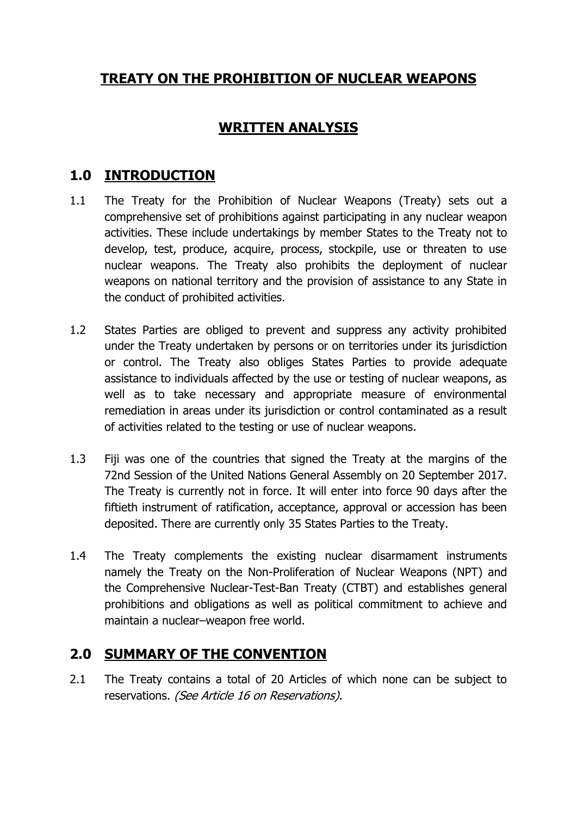# **TREATY ON THE PROHIBITION OF NUCLEAR WEAPONS**

### **WRITTEN ANALYSIS**

## **1.0 INTRODUCTION**

- 1.1 The Treaty for the Prohibition of Nuclear Weapons (Treaty) sets out a comprehensive set of prohibitions against participating in any nuclear weapon activities. These include undertakings by member States to the Treaty not to develop, test, produce, acquire, process, stockpile, use or threaten to use nuclear weapons. The Treaty also prohibits the deployment of nuclear weapons on national territory and the provision of assistance to any State in the conduct of prohibited activities.
- 1.2 States Parties are obliged to prevent and suppress any activity prohibited under the Treaty undertaken by persons or on territories under its jurisdiction or control. The Treaty also obliges States Parties to provide adequate assistance to individuals affected by the use or testing of nuclear weapons, as well as to take necessary and appropriate measure of environmental remediation in areas under its jurisdiction or control contaminated as a result of activities related to the testing or use of nuclear weapons.
- 1.3 Fiji was one of the countries that signed the Treaty at the margins of the 72nd Session of the United Nations General Assembly on 20 September 2017. The Treaty is currently not in force. It will enter into force 90 days after the fiftieth instrument of ratification, acceptance, approval or accession has been deposited. There are currently only 35 States Parties to the Treaty.
- 1.4 The Treaty complements the existing nuclear disarmament instruments namely the Treaty on the Non-Proliferation of Nuclear Weapons (NPT) and the Comprehensive Nuclear-Test-Ban Treaty (CTBT) and establishes general prohibitions and obligations as well as political commitment to achieve and maintain a nuclear–weapon free world.

#### **2.0 SUMMARY OF THE CONVENTION**

2.1 The Treaty contains a total of 20 Articles of which none can be subject to reservations. (See Article 16 on Reservations).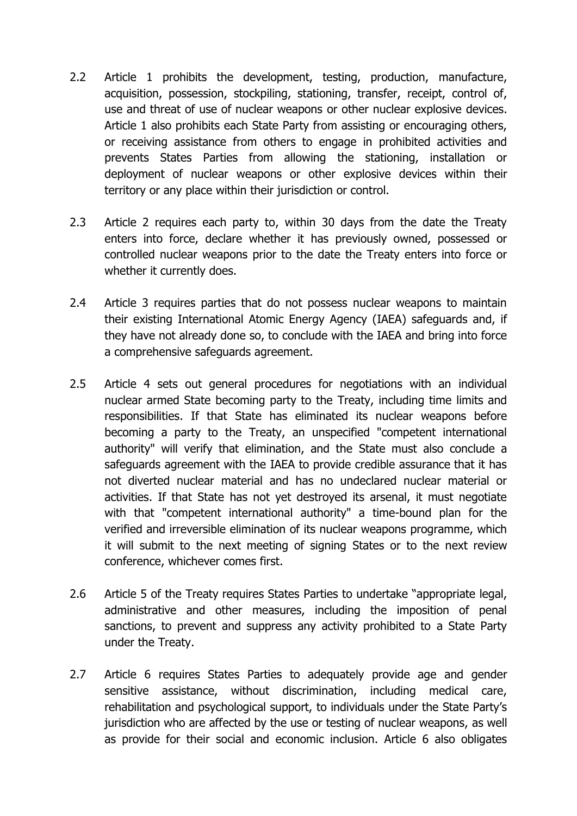- 2.2 Article 1 prohibits the development, testing, production, manufacture, acquisition, possession, stockpiling, stationing, transfer, receipt, control of, use and threat of use of nuclear weapons or other nuclear explosive devices. Article 1 also prohibits each State Party from assisting or encouraging others, or receiving assistance from others to engage in prohibited activities and prevents States Parties from allowing the stationing, installation or deployment of nuclear weapons or other explosive devices within their territory or any place within their jurisdiction or control.
- 2.3 Article 2 requires each party to, within 30 days from the date the Treaty enters into force, declare whether it has previously owned, possessed or controlled nuclear weapons prior to the date the Treaty enters into force or whether it currently does.
- 2.4 Article 3 requires parties that do not possess nuclear weapons to maintain their existing International Atomic Energy Agency (IAEA) safeguards and, if they have not already done so, to conclude with the IAEA and bring into force a comprehensive safeguards agreement.
- 2.5 Article 4 sets out general procedures for negotiations with an individual nuclear armed State becoming party to the Treaty, including time limits and responsibilities. If that State has eliminated its nuclear weapons before becoming a party to the Treaty, an unspecified "competent international authority" will verify that elimination, and the State must also conclude a safeguards agreement with the IAEA to provide credible assurance that it has not diverted nuclear material and has no undeclared nuclear material or activities. If that State has not yet destroyed its arsenal, it must negotiate with that "competent international authority" a time-bound plan for the verified and irreversible elimination of its nuclear weapons programme, which it will submit to the next meeting of signing States or to the next review conference, whichever comes first.
- 2.6 Article 5 of the Treaty requires States Parties to undertake "appropriate legal, administrative and other measures, including the imposition of penal sanctions, to prevent and suppress any activity prohibited to a State Party under the Treaty.
- 2.7 Article 6 requires States Parties to adequately provide age and gender sensitive assistance, without discrimination, including medical care, rehabilitation and psychological support, to individuals under the State Party"s jurisdiction who are affected by the use or testing of nuclear weapons, as well as provide for their social and economic inclusion. Article 6 also obligates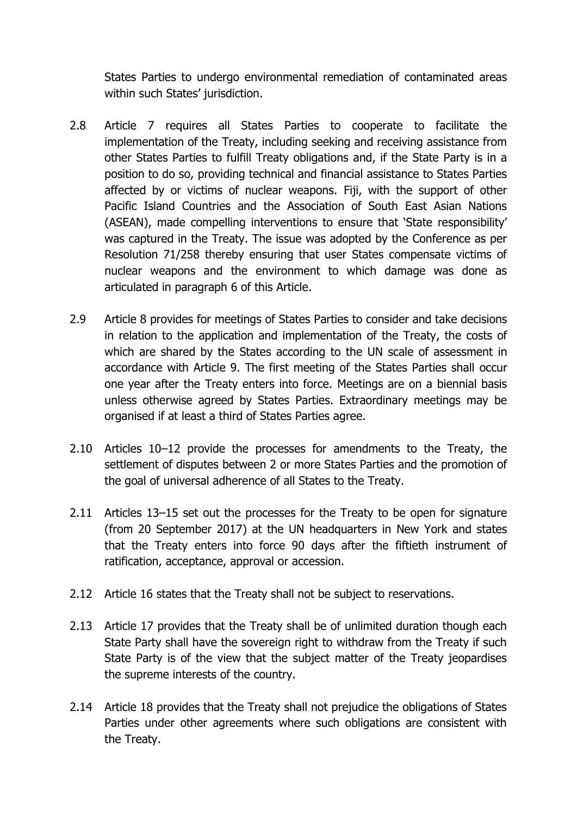States Parties to undergo environmental remediation of contaminated areas within such States' jurisdiction.

- 2.8 Article 7 requires all States Parties to cooperate to facilitate the implementation of the Treaty, including seeking and receiving assistance from other States Parties to fulfill Treaty obligations and, if the State Party is in a position to do so, providing technical and financial assistance to States Parties affected by or victims of nuclear weapons. Fiji, with the support of other Pacific Island Countries and the Association of South East Asian Nations (ASEAN), made compelling interventions to ensure that "State responsibility" was captured in the Treaty. The issue was adopted by the Conference as per Resolution 71/258 thereby ensuring that user States compensate victims of nuclear weapons and the environment to which damage was done as articulated in paragraph 6 of this Article.
- 2.9 Article 8 provides for meetings of States Parties to consider and take decisions in relation to the application and implementation of the Treaty, the costs of which are shared by the States according to the UN scale of assessment in accordance with Article 9. The first meeting of the States Parties shall occur one year after the Treaty enters into force. Meetings are on a biennial basis unless otherwise agreed by States Parties. Extraordinary meetings may be organised if at least a third of States Parties agree.
- 2.10 Articles 10–12 provide the processes for amendments to the Treaty, the settlement of disputes between 2 or more States Parties and the promotion of the goal of universal adherence of all States to the Treaty.
- 2.11 Articles 13–15 set out the processes for the Treaty to be open for signature (from 20 September 2017) at the UN headquarters in New York and states that the Treaty enters into force 90 days after the fiftieth instrument of ratification, acceptance, approval or accession.
- 2.12 Article 16 states that the Treaty shall not be subject to reservations.
- 2.13 Article 17 provides that the Treaty shall be of unlimited duration though each State Party shall have the sovereign right to withdraw from the Treaty if such State Party is of the view that the subject matter of the Treaty jeopardises the supreme interests of the country.
- 2.14 Article 18 provides that the Treaty shall not prejudice the obligations of States Parties under other agreements where such obligations are consistent with the Treaty.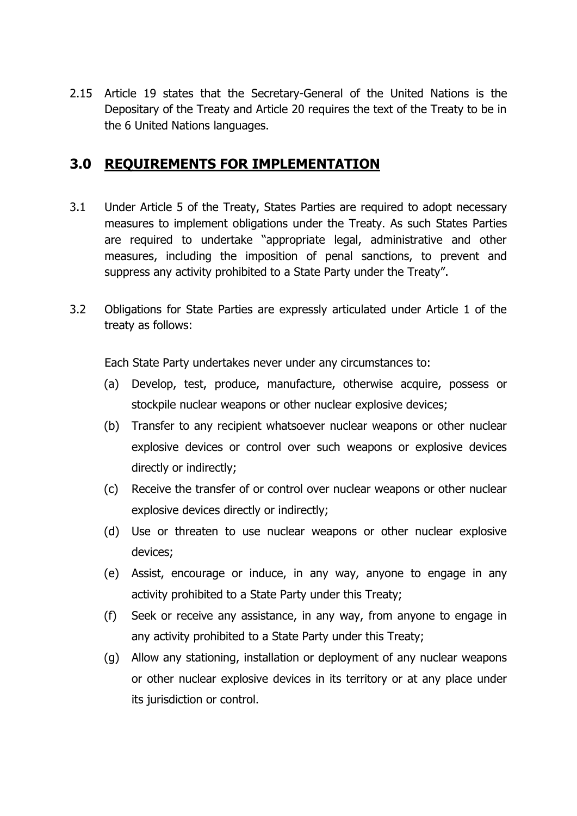2.15 Article 19 states that the Secretary-General of the United Nations is the Depositary of the Treaty and Article 20 requires the text of the Treaty to be in the 6 United Nations languages.

#### **3.0 REQUIREMENTS FOR IMPLEMENTATION**

- 3.1 Under Article 5 of the Treaty, States Parties are required to adopt necessary measures to implement obligations under the Treaty. As such States Parties are required to undertake "appropriate legal, administrative and other measures, including the imposition of penal sanctions, to prevent and suppress any activity prohibited to a State Party under the Treaty".
- 3.2 Obligations for State Parties are expressly articulated under Article 1 of the treaty as follows:

Each State Party undertakes never under any circumstances to:

- (a) Develop, test, produce, manufacture, otherwise acquire, possess or stockpile nuclear weapons or other nuclear explosive devices;
- (b) Transfer to any recipient whatsoever nuclear weapons or other nuclear explosive devices or control over such weapons or explosive devices directly or indirectly;
- (c) Receive the transfer of or control over nuclear weapons or other nuclear explosive devices directly or indirectly;
- (d) Use or threaten to use nuclear weapons or other nuclear explosive devices;
- (e) Assist, encourage or induce, in any way, anyone to engage in any activity prohibited to a State Party under this Treaty;
- (f) Seek or receive any assistance, in any way, from anyone to engage in any activity prohibited to a State Party under this Treaty;
- (g) Allow any stationing, installation or deployment of any nuclear weapons or other nuclear explosive devices in its territory or at any place under its jurisdiction or control.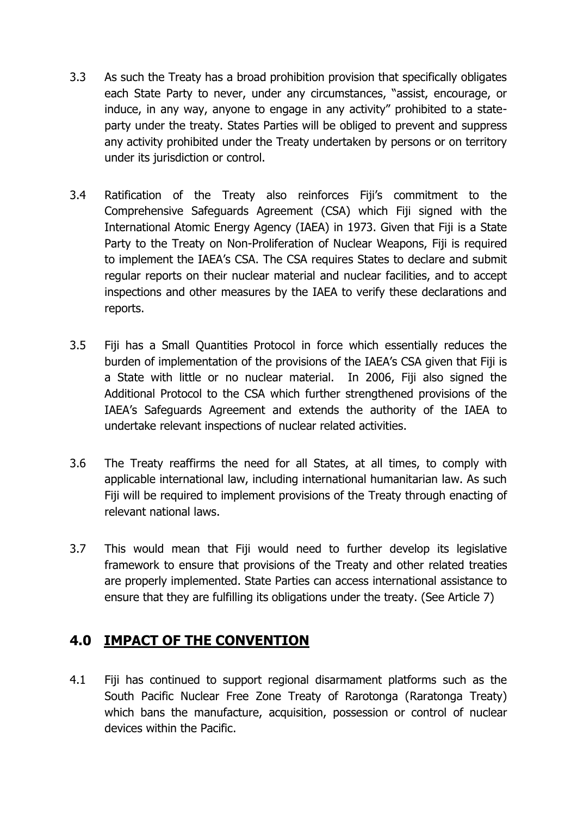- 3.3 As such the Treaty has a broad prohibition provision that specifically obligates each State Party to never, under any circumstances, "assist, encourage, or induce, in any way, anyone to engage in any activity" prohibited to a stateparty under the treaty. States Parties will be obliged to prevent and suppress any activity prohibited under the Treaty undertaken by persons or on territory under its jurisdiction or control.
- 3.4 Ratification of the Treaty also reinforces Fiji"s commitment to the Comprehensive Safeguards Agreement (CSA) which Fiji signed with the International Atomic Energy Agency (IAEA) in 1973. Given that Fiji is a State Party to the Treaty on Non-Proliferation of Nuclear Weapons, Fiji is required to implement the IAEA"s CSA. The CSA requires States to declare and submit regular reports on their nuclear material and nuclear facilities, and to accept inspections and other measures by the IAEA to verify these declarations and reports.
- 3.5 Fiji has a Small Quantities Protocol in force which essentially reduces the burden of implementation of the provisions of the IAEA"s CSA given that Fiji is a State with little or no nuclear material. In 2006, Fiji also signed the Additional Protocol to the CSA which further strengthened provisions of the IAEA"s Safeguards Agreement and extends the authority of the IAEA to undertake relevant inspections of nuclear related activities.
- 3.6 The Treaty reaffirms the need for all States, at all times, to comply with applicable international law, including international humanitarian law. As such Fiji will be required to implement provisions of the Treaty through enacting of relevant national laws.
- 3.7 This would mean that Fiji would need to further develop its legislative framework to ensure that provisions of the Treaty and other related treaties are properly implemented. State Parties can access international assistance to ensure that they are fulfilling its obligations under the treaty. (See Article 7)

#### **4.0 IMPACT OF THE CONVENTION**

4.1 Fiji has continued to support regional disarmament platforms such as the South Pacific Nuclear Free Zone Treaty of Rarotonga (Raratonga Treaty) which bans the manufacture, acquisition, possession or control of nuclear devices within the Pacific.